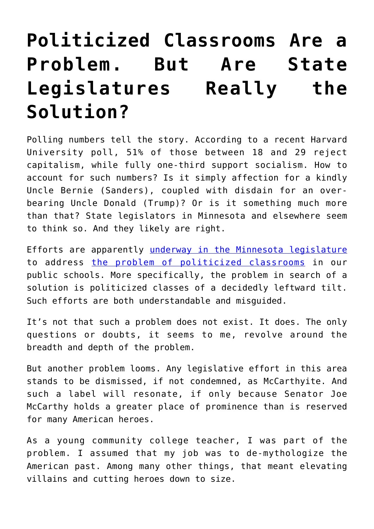## **[Politicized Classrooms Are a](https://intellectualtakeout.org/2018/05/politicized-classrooms-are-a-problem-but-are-state-legislatures-really-the-solution/) [Problem. But Are State](https://intellectualtakeout.org/2018/05/politicized-classrooms-are-a-problem-but-are-state-legislatures-really-the-solution/) [Legislatures Really the](https://intellectualtakeout.org/2018/05/politicized-classrooms-are-a-problem-but-are-state-legislatures-really-the-solution/) [Solution?](https://intellectualtakeout.org/2018/05/politicized-classrooms-are-a-problem-but-are-state-legislatures-really-the-solution/)**

Polling numbers tell the story. According to a recent Harvard University poll, 51% of those between 18 and 29 reject capitalism, while fully one-third support socialism. How to account for such numbers? Is it simply affection for a kindly Uncle Bernie (Sanders), coupled with disdain for an overbearing Uncle Donald (Trump)? Or is it something much more than that? State legislators in Minnesota and elsewhere seem to think so. And they likely are right.

Efforts are apparently [underway in the Minnesota legislature](http://www.postbulletin.com/news/politics/bill-seeks-to-keep-politics-out-of-classes/article_96e5e204-2c72-11e8-8f88-5fa75f61822d.html) to address [the problem of politicized classrooms](https://www.intellectualtakeout.org/article/indoctrination-american-schools-how-bad-it) in our public schools. More specifically, the problem in search of a solution is politicized classes of a decidedly leftward tilt. Such efforts are both understandable and misguided.

It's not that such a problem does not exist. It does. The only questions or doubts, it seems to me, revolve around the breadth and depth of the problem.

But another problem looms. Any legislative effort in this area stands to be dismissed, if not condemned, as McCarthyite. And such a label will resonate, if only because Senator Joe McCarthy holds a greater place of prominence than is reserved for many American heroes.

As a young community college teacher, I was part of the problem. I assumed that my job was to de-mythologize the American past. Among many other things, that meant elevating villains and cutting heroes down to size.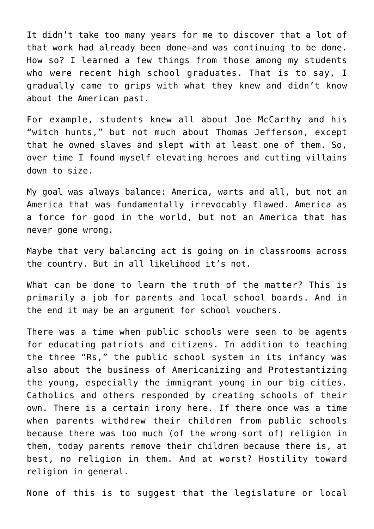It didn't take too many years for me to discover that a lot of that work had already been done—and was continuing to be done. How so? I learned a few things from those among my students who were recent high school graduates. That is to say, I gradually came to grips with what they knew and didn't know about the American past.

For example, students knew all about Joe McCarthy and his "witch hunts," but not much about Thomas Jefferson, except that he owned slaves and slept with at least one of them. So, over time I found myself elevating heroes and cutting villains down to size.

My goal was always balance: America, warts and all, but not an America that was fundamentally irrevocably flawed. America as a force for good in the world, but not an America that has never gone wrong.

Maybe that very balancing act is going on in classrooms across the country. But in all likelihood it's not.

What can be done to learn the truth of the matter? This is primarily a job for parents and local school boards. And in the end it may be an argument for school vouchers.

There was a time when public schools were seen to be agents for educating patriots and citizens. In addition to teaching the three "Rs," the public school system in its infancy was also about the business of Americanizing and Protestantizing the young, especially the immigrant young in our big cities. Catholics and others responded by creating schools of their own. There is a certain irony here. If there once was a time when parents withdrew their children from public schools because there was too much (of the wrong sort of) religion in them, today parents remove their children because there is, at best, no religion in them. And at worst? Hostility toward religion in general.

None of this is to suggest that the legislature or local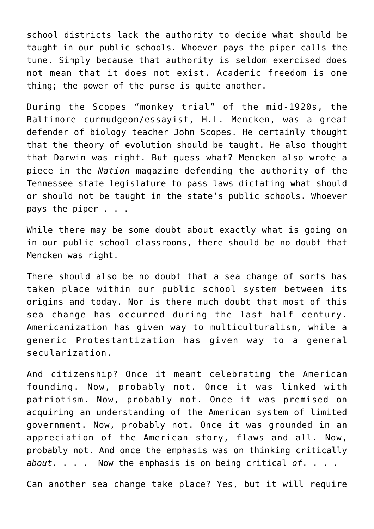school districts lack the authority to decide what should be taught in our public schools. Whoever pays the piper calls the tune. Simply because that authority is seldom exercised does not mean that it does not exist. Academic freedom is one thing; the power of the purse is quite another.

During the Scopes "monkey trial" of the mid-1920s, the Baltimore curmudgeon/essayist, H.L. Mencken, was a great defender of biology teacher John Scopes. He certainly thought that the theory of evolution should be taught. He also thought that Darwin was right. But guess what? Mencken also wrote a piece in the *Nation* magazine defending the authority of the Tennessee state legislature to pass laws dictating what should or should not be taught in the state's public schools. Whoever pays the piper . . .

While there may be some doubt about exactly what is going on in our public school classrooms, there should be no doubt that Mencken was right.

There should also be no doubt that a sea change of sorts has taken place within our public school system between its origins and today. Nor is there much doubt that most of this sea change has occurred during the last half century. Americanization has given way to multiculturalism, while a generic Protestantization has given way to a general secularization.

And citizenship? Once it meant celebrating the American founding. Now, probably not. Once it was linked with patriotism. Now, probably not. Once it was premised on acquiring an understanding of the American system of limited government. Now, probably not. Once it was grounded in an appreciation of the American story, flaws and all. Now, probably not. And once the emphasis was on thinking critically *about*. . . . Now the emphasis is on being critical *of*. . . .

Can another sea change take place? Yes, but it will require